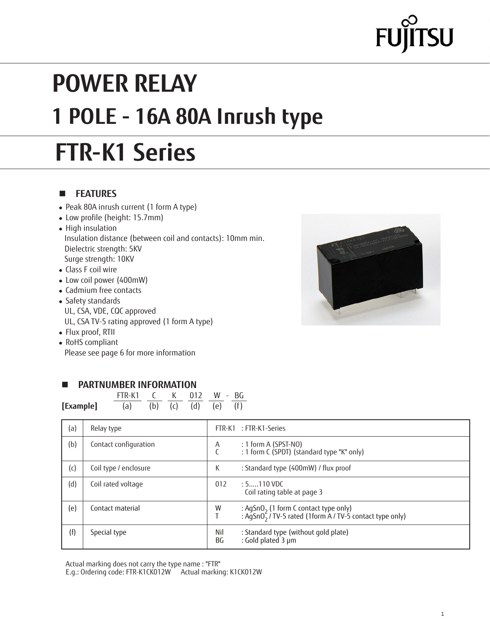# **SU**

## **POWER RELAY 1 POLE - 16A 80A Inrush type**

## **FTR-K1 Series**

### **n FEATURES**

- Peak 80A inrush current (1 form A type)
- Low profile (height: 15.7mm)
- High insulation Insulation distance (between coil and contacts): 10mm min. Dielectric strength: 5KV Surge strength: 10KV
- Class F coil wire
- Low coil power (400mW)
- Cadmium free contacts
- Safety standards UL, CSA, VDE, CQC approved UL, CSA TV-5 rating approved (1 form A type)
- Flux proof, RTII
- RoHS compliant Please see page 6 for more information

### **PARTNUMBER INFORMATION**

FTR-K1 C K 012 W - BG

| [Example]<br>(d)<br>(f)<br>(b)<br>(a)<br>(e)<br>(c) |     |                       |           |                                                                                                                           |
|-----------------------------------------------------|-----|-----------------------|-----------|---------------------------------------------------------------------------------------------------------------------------|
|                                                     | (a) | Relay type            |           | FTR-K1: FTR-K1-Series                                                                                                     |
|                                                     | (b) | Contact configuration | Α         | $: 1$ form A (SPST-NO)<br>: 1 form C (SPDT) (standard type "K" only)                                                      |
|                                                     | (c) | Coil type / enclosure | К         | : Standard type (400mW) / flux proof                                                                                      |
|                                                     | (d) | Coil rated voltage    | 012       | $: 5$ 110 VDC<br>Coil rating table at page 3                                                                              |
|                                                     | (e) | Contact material      | W         | : AgSnO <sub>2</sub> (1 form C contact type only)<br>: AgSnO <sub>2</sub> / TV-5 rated (1form A / TV-5 contact type only) |
|                                                     | (f) | Special type          | Nil<br>ВG | : Standard type (without gold plate)<br>: Gold plated 3 µm                                                                |

Actual marking does not carry the type name : "FTR"

E.g.: Ordering code: FTR-K1CK012W Actual marking: K1CK012W

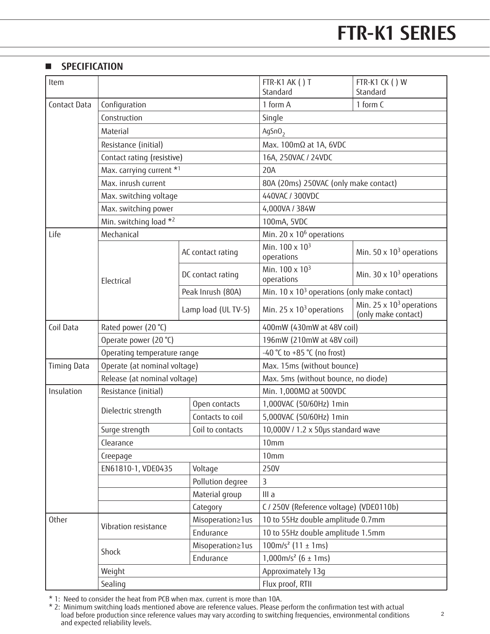## **FTR-K1 SERIES FTR-K1 SERIES**

### **N** SPECIFICATION

| Item               |                                    |                     | FTR-K1 AK () T<br>Standard                           | FTR-K1 CK () W<br>Standard                                         |  |
|--------------------|------------------------------------|---------------------|------------------------------------------------------|--------------------------------------------------------------------|--|
| Contact Data       | Configuration                      |                     | 1 form A                                             | 1 form C                                                           |  |
|                    | Construction                       |                     | Single                                               |                                                                    |  |
|                    | Material                           |                     | AgSnO <sub>2</sub>                                   |                                                                    |  |
|                    | Resistance (initial)               |                     | Max. 100mΩ at 1A, 6VDC                               |                                                                    |  |
|                    | Contact rating (resistive)         |                     | 16A, 250VAC / 24VDC                                  |                                                                    |  |
|                    | Max. carrying current *1           |                     | 20A                                                  |                                                                    |  |
|                    | Max. inrush current                |                     | 80A (20ms) 250VAC (only make contact)                |                                                                    |  |
|                    | Max. switching voltage             |                     | 440VAC / 300VDC                                      |                                                                    |  |
|                    | Max. switching power               |                     | 4,000VA / 384W                                       |                                                                    |  |
|                    | Min. switching load *2             |                     | 100mA, 5VDC                                          |                                                                    |  |
| Life               | Mechanical                         |                     | Min. 20 x 10 <sup>6</sup> operations                 |                                                                    |  |
|                    |                                    | AC contact rating   | Min. $100 \times 10^3$<br>operations                 | Min. 50 $\times$ 10 <sup>3</sup> operations                        |  |
|                    | Electrical                         | DC contact rating   | Min. 100 x 10 <sup>3</sup><br>operations             | Min. $30 \times 10^3$ operations                                   |  |
|                    |                                    | Peak Inrush (80A)   | Min. $10 \times 10^3$ operations (only make contact) |                                                                    |  |
|                    |                                    | Lamp load (UL TV-5) | Min. 25 $\times$ 10 <sup>3</sup> operations          | Min. 25 $\times$ 10 <sup>3</sup> operations<br>(only make contact) |  |
| Coil Data          | Rated power (20 °C)                |                     | 400mW (430mW at 48V coil)                            |                                                                    |  |
|                    | Operate power (20 °C)              |                     | 196mW (210mW at 48V coil)                            |                                                                    |  |
|                    | Operating temperature range        |                     | -40 °C to +85 °C (no frost)                          |                                                                    |  |
| <b>Timing Data</b> | Operate (at nominal voltage)       |                     | Max. 15ms (without bounce)                           |                                                                    |  |
|                    | Release (at nominal voltage)       |                     | Max. 5ms (without bounce, no diode)                  |                                                                    |  |
| Insulation         | Resistance (initial)               |                     | Min. 1,000MΩ at 500VDC                               |                                                                    |  |
|                    | Dielectric strength                | Open contacts       | 1,000VAC (50/60Hz) 1min                              |                                                                    |  |
|                    |                                    | Contacts to coil    | 5,000VAC (50/60Hz) 1min                              |                                                                    |  |
|                    | Coil to contacts<br>Surge strength |                     | 10,000V / 1.2 x 50µs standard wave                   |                                                                    |  |
|                    | Clearance                          |                     | 10 <sub>mm</sub>                                     |                                                                    |  |
|                    | Creepage                           |                     | 10 <sub>mm</sub>                                     |                                                                    |  |
|                    | EN61810-1, VDE0435                 | Voltage             | 250V                                                 |                                                                    |  |
|                    |                                    | Pollution degree    | 3                                                    |                                                                    |  |
|                    |                                    | Material group      | III a                                                |                                                                    |  |
|                    |                                    | Category            | C / 250V (Reference voltage) (VDE0110b)              |                                                                    |  |
| <b>Other</b>       | Vibration resistance               | Misoperation≥1us    | 10 to 55Hz double amplitude 0.7mm                    |                                                                    |  |
|                    |                                    | Endurance           | 10 to 55Hz double amplitude 1.5mm                    |                                                                    |  |
|                    | Shock                              | Misoperation≥1us    | $100m/s2$ (11 ± 1ms)                                 |                                                                    |  |
|                    | Endurance                          |                     | $1,000$ m/s <sup>2</sup> (6 ± 1ms)                   |                                                                    |  |
|                    | Weight                             |                     |                                                      | Approximately 13g                                                  |  |
|                    | Sealing                            |                     | Flux proof, RTII                                     |                                                                    |  |

\* 1: Need to consider the heat from PCB when max. current is more than 10A.

\* 2: Minimum switching loads mentioned above are reference values. Please perform the confirmation test with actual load before production since reference values may vary according to switching frequencies, environmental conditions and expected reliability levels.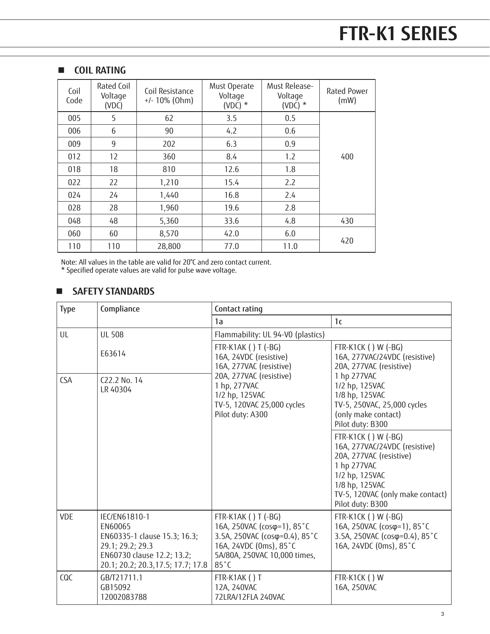### **n COIL RATING**

| Coil<br>Code | Rated Coil<br>Voltage<br>(VDC) | Coil Resistance<br>$+/- 10\%$ (Ohm) | Must Operate<br>Voltage<br>(VDC) $*$ | Must Release-<br>Voltage<br>(VDC) $*$ | Rated Power<br>(mW) |
|--------------|--------------------------------|-------------------------------------|--------------------------------------|---------------------------------------|---------------------|
| 005          | 5                              | 62                                  | 3.5                                  | 0.5                                   |                     |
| 006          | 6                              | 90                                  | 4.2                                  | 0.6                                   |                     |
| 009          | 9                              | 202                                 | 6.3                                  | 0.9                                   |                     |
| 012          | 12                             | 360                                 | 8.4                                  | 1.2                                   | 400                 |
| 018          | 18                             | 810                                 | 12.6                                 | 1.8                                   |                     |
| 022          | 22                             | 1,210                               | 15.4                                 | 2.2                                   |                     |
| 024          | 24                             | 1,440                               | 16.8                                 | 2.4                                   |                     |
| 028          | 28                             | 1,960                               | 19.6                                 | 2.8                                   |                     |
| 048          | 48                             | 5,360                               | 33.6                                 | 4.8                                   | 430                 |
| 060          | 60                             | 8,570                               | 42.0                                 | 6.0                                   |                     |
| 110          | 110                            | 28,800                              | 77.0                                 | 11.0                                  | 420                 |

Note: All values in the table are valid for 20°C and zero contact current.

\* Specified operate values are valid for pulse wave voltage.

### n **SAFETY STANDARDS**

| <b>Type</b> | Compliance                                                                                                                                       | Contact rating                                                                                                                                                                          |                                                                                                                                                                                            |
|-------------|--------------------------------------------------------------------------------------------------------------------------------------------------|-----------------------------------------------------------------------------------------------------------------------------------------------------------------------------------------|--------------------------------------------------------------------------------------------------------------------------------------------------------------------------------------------|
|             |                                                                                                                                                  | 1a                                                                                                                                                                                      | 1 <sub>c</sub>                                                                                                                                                                             |
| UL          | <b>UL 508</b>                                                                                                                                    | Flammability: UL 94-V0 (plastics)                                                                                                                                                       |                                                                                                                                                                                            |
|             | E63614                                                                                                                                           | FTR-K1AK () T (-BG)<br>16A, 24VDC (resistive)<br>16A, 277VAC (resistive)<br>20A, 277VAC (resistive)<br>1 hp, 277VAC<br>1/2 hp, 125VAC<br>TV-5, 120VAC 25,000 cycles<br>Pilot duty: A300 | FTR-K1CK () W (-BG)<br>16A, 277VAC/24VDC (resistive)<br>20A, 277VAC (resistive)                                                                                                            |
| <b>CSA</b>  | C <sub>22</sub> .2 No. 14<br>LR 40304                                                                                                            |                                                                                                                                                                                         | 1 hp 277VAC<br>1/2 hp, 125VAC<br>1/8 hp, 125VAC<br>TV-5, 250VAC, 25,000 cycles<br>(only make contact)<br>Pilot duty: B300                                                                  |
|             |                                                                                                                                                  |                                                                                                                                                                                         | FTR-K1CK () W (-BG)<br>16A, 277VAC/24VDC (resistive)<br>20A, 277VAC (resistive)<br>1 hp 277VAC<br>1/2 hp, 125VAC<br>1/8 hp, 125VAC<br>TV-5, 120VAC (only make contact)<br>Pilot duty: B300 |
| <b>VDE</b>  | IEC/EN61810-1<br>EN60065<br>EN60335-1 clause 15.3; 16.3;<br>29.1; 29.2; 29.3<br>EN60730 clause 12.2; 13.2;<br>20.1; 20.2; 20.3, 17.5; 17.7; 17.8 | FTR-K1AK () T (-BG)<br>16A, 250VAC (cosφ=1), 85°C<br>3.5A, 250VAC (cosφ=0.4), 85°C<br>16A, 24VDC (0ms), 85°C<br>5A/80A, 250VAC 10,000 times,<br>$85^{\circ}$ C                          | FTR-K1CK () W (-BG)<br>16A, 250VAC (cosφ=1), 85°C<br>3.5A, 250VAC (cosφ=0.4), 85°C<br>16A, 24VDC (0ms), 85°C                                                                               |
| CQC         | GB/T21711.1<br>GB15092<br>12002083788                                                                                                            | FTR-K1AK () T<br>12A, 240VAC<br>72LRA/12FLA 240VAC                                                                                                                                      | FTR-K1CK () W<br>16A, 250VAC                                                                                                                                                               |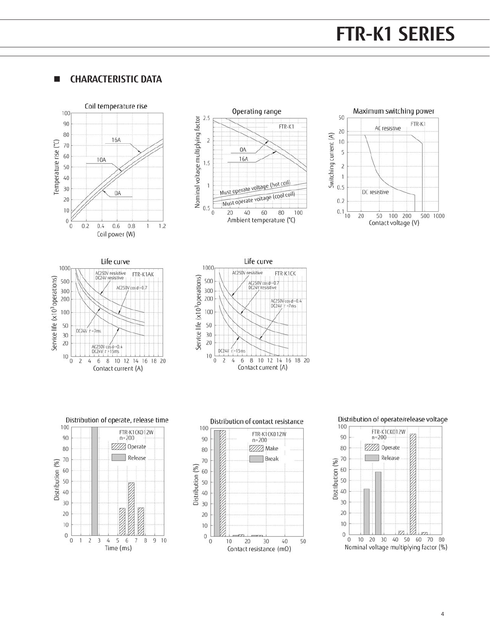## **FTR-F4 SERIES FTR-K1 SERIES FTR-K1 SERIES**

### **N CHARACTERISTIC DATA**















### Distribution of operate/release voltage

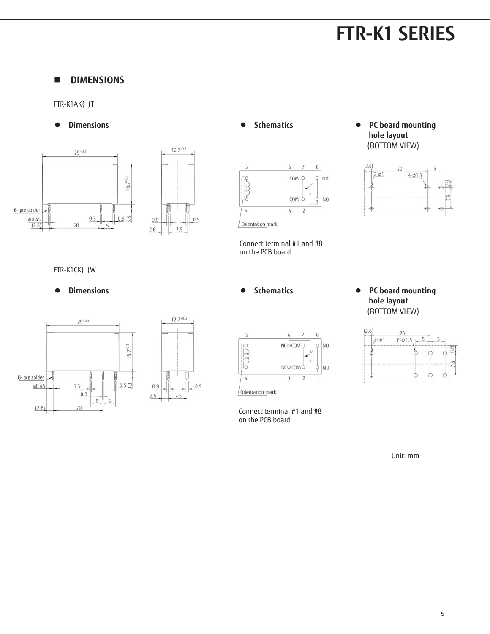## **FTR-K1 SERIES FTR-F4 SERIES FTR-K1 SERIES**

### **n DIMENSIONS**

FTR-K1AK( )T





### l **Schematics**



Connect terminal #1 and #8 on the PCB board

**•** Dimensions **and Schematics •** Schematics **•** PC board mounting  **hole layout** (BOTTOM VIEW)



FTR-K1CK( )W



l **Schematics**



Connect terminal #1 and #8 on the PCB board

**•** Dimensions **and Schematics •** Schematics **•** PC board mounting  **hole layout** (BOTTOM VIEW)



Unit: mm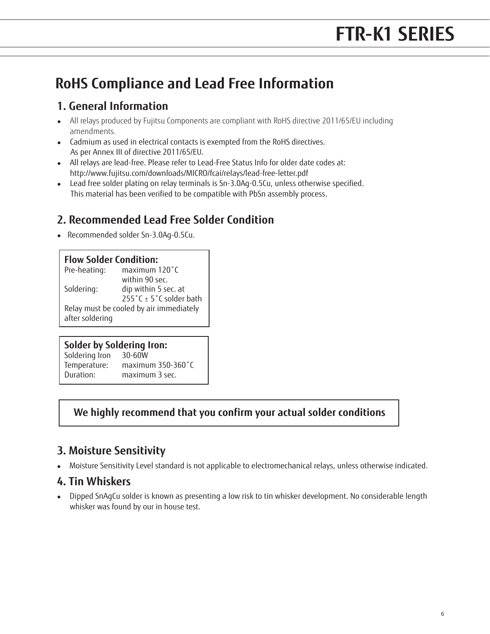### **RoHS Compliance and Lead Free Information**

### **1. General Information**

- All relays produced by Fujitsu Components are compliant with RoHS directive 2011/65/EU including amendments.
- Cadmium as used in electrical contacts is exempted from the RoHS directives. As per Annex III of directive 2011/65/EU.
- All relays are lead-free. Please refer to Lead-Free Status Info for older date codes at: http://www.fujitsu.com/downloads/MICRO/fcai/relays/lead-free-letter.pdf
- Lead free solder plating on relay terminals is Sn-3.0Ag-0.5Cu, unless otherwise specified. This material has been verified to be compatible with PbSn assembly process.

### **2. Recommended Lead Free Solder Condition**

• Recommended solder Sn-3.0Ag-0.5Cu.

### **Flow Solder Condition:**

| Pre-heating:                            | maximum 120°C           |  |
|-----------------------------------------|-------------------------|--|
|                                         | within 90 sec.          |  |
| Soldering:                              | dip within 5 sec. at    |  |
|                                         | 255°C ± 5°C solder bath |  |
| Relay must be cooled by air immediately |                         |  |
| after soldering                         |                         |  |

### **Solder by Soldering Iron:**

| Soldering Iron | 30-60W            |
|----------------|-------------------|
| Temperature:   | maximum 350-360°C |
| Duration:      | maximum 3 sec.    |

### **We highly recommend that you confirm your actual solder conditions**

### **3. Moisture Sensitivity**

• Moisture Sensitivity Level standard is not applicable to electromechanical relays, unless otherwise indicated.

### **4. Tin Whiskers**

• Dipped SnAgCu solder is known as presenting a low risk to tin whisker development. No considerable length whisker was found by our in house test.